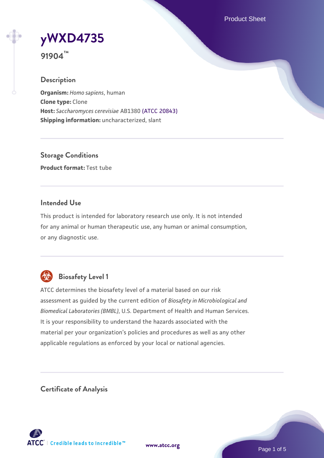Product Sheet

**[yWXD4735](https://www.atcc.org/products/91904)**

**91904™**

## **Description**

**Organism:** *Homo sapiens*, human **Clone type:** Clone **Host:** *Saccharomyces cerevisiae* AB1380 [\(ATCC 20843\)](https://www.atcc.org/products/20843) **Shipping information:** uncharacterized, slant

**Storage Conditions Product format:** Test tube

## **Intended Use**

This product is intended for laboratory research use only. It is not intended for any animal or human therapeutic use, any human or animal consumption, or any diagnostic use.



# **Biosafety Level 1**

ATCC determines the biosafety level of a material based on our risk assessment as guided by the current edition of *Biosafety in Microbiological and Biomedical Laboratories (BMBL)*, U.S. Department of Health and Human Services. It is your responsibility to understand the hazards associated with the material per your organization's policies and procedures as well as any other applicable regulations as enforced by your local or national agencies.

**Certificate of Analysis**

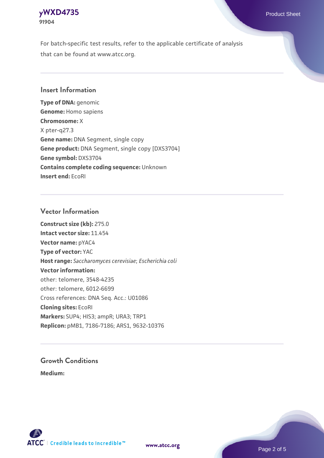### **[yWXD4735](https://www.atcc.org/products/91904)** Product Sheet **91904**

For batch-specific test results, refer to the applicable certificate of analysis that can be found at www.atcc.org.

### **Insert Information**

**Type of DNA:** genomic **Genome:** Homo sapiens **Chromosome:** X X pter-q27.3 **Gene name:** DNA Segment, single copy **Gene product:** DNA Segment, single copy [DXS3704] **Gene symbol:** DXS3704 **Contains complete coding sequence:** Unknown **Insert end:** EcoRI

### **Vector Information**

**Construct size (kb):** 275.0 **Intact vector size:** 11.454 **Vector name:** pYAC4 **Type of vector:** YAC **Host range:** *Saccharomyces cerevisiae*; *Escherichia coli* **Vector information:** other: telomere, 3548-4235 other: telomere, 6012-6699 Cross references: DNA Seq. Acc.: U01086 **Cloning sites:** EcoRI **Markers:** SUP4; HIS3; ampR; URA3; TRP1 **Replicon:** pMB1, 7186-7186; ARS1, 9632-10376

# **Growth Conditions**

**Medium:** 



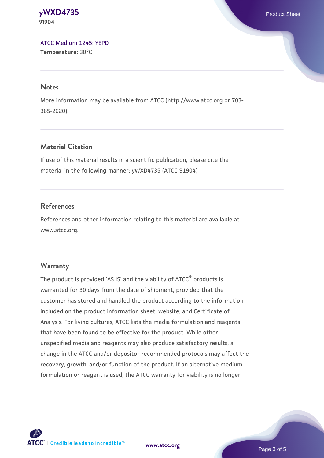#### **[yWXD4735](https://www.atcc.org/products/91904)** Product Sheet **91904**

[ATCC Medium 1245: YEPD](https://www.atcc.org/-/media/product-assets/documents/microbial-media-formulations/1/2/4/5/atcc-medium-1245.pdf?rev=705ca55d1b6f490a808a965d5c072196) **Temperature:** 30°C

#### **Notes**

More information may be available from ATCC (http://www.atcc.org or 703- 365-2620).

# **Material Citation**

If use of this material results in a scientific publication, please cite the material in the following manner: yWXD4735 (ATCC 91904)

# **References**

References and other information relating to this material are available at www.atcc.org.

# **Warranty**

The product is provided 'AS IS' and the viability of ATCC® products is warranted for 30 days from the date of shipment, provided that the customer has stored and handled the product according to the information included on the product information sheet, website, and Certificate of Analysis. For living cultures, ATCC lists the media formulation and reagents that have been found to be effective for the product. While other unspecified media and reagents may also produce satisfactory results, a change in the ATCC and/or depositor-recommended protocols may affect the recovery, growth, and/or function of the product. If an alternative medium formulation or reagent is used, the ATCC warranty for viability is no longer



**[www.atcc.org](http://www.atcc.org)**

Page 3 of 5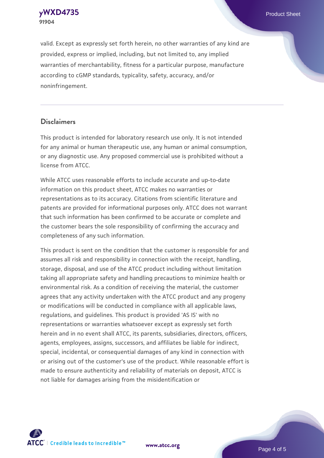**91904**

valid. Except as expressly set forth herein, no other warranties of any kind are provided, express or implied, including, but not limited to, any implied warranties of merchantability, fitness for a particular purpose, manufacture according to cGMP standards, typicality, safety, accuracy, and/or noninfringement.

#### **Disclaimers**

This product is intended for laboratory research use only. It is not intended for any animal or human therapeutic use, any human or animal consumption, or any diagnostic use. Any proposed commercial use is prohibited without a license from ATCC.

While ATCC uses reasonable efforts to include accurate and up-to-date information on this product sheet, ATCC makes no warranties or representations as to its accuracy. Citations from scientific literature and patents are provided for informational purposes only. ATCC does not warrant that such information has been confirmed to be accurate or complete and the customer bears the sole responsibility of confirming the accuracy and completeness of any such information.

This product is sent on the condition that the customer is responsible for and assumes all risk and responsibility in connection with the receipt, handling, storage, disposal, and use of the ATCC product including without limitation taking all appropriate safety and handling precautions to minimize health or environmental risk. As a condition of receiving the material, the customer agrees that any activity undertaken with the ATCC product and any progeny or modifications will be conducted in compliance with all applicable laws, regulations, and guidelines. This product is provided 'AS IS' with no representations or warranties whatsoever except as expressly set forth herein and in no event shall ATCC, its parents, subsidiaries, directors, officers, agents, employees, assigns, successors, and affiliates be liable for indirect, special, incidental, or consequential damages of any kind in connection with or arising out of the customer's use of the product. While reasonable effort is made to ensure authenticity and reliability of materials on deposit, ATCC is not liable for damages arising from the misidentification or



**[www.atcc.org](http://www.atcc.org)**

Page 4 of 5